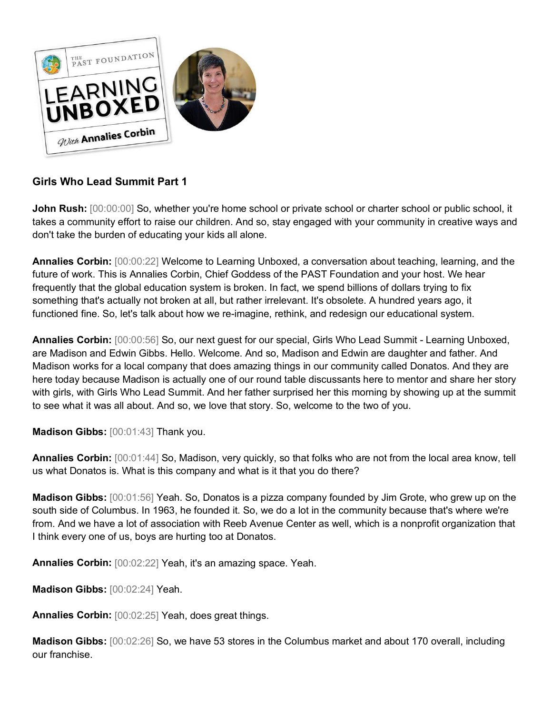

## **Girls Who Lead Summit Part 1**

**John Rush:**  $[00:00:00]$  So, whether you're home school or private school or charter school or public school, it takes a community effort to raise our children. And so, stay engaged with your community in creative ways and don't take the burden of educating your kids all alone.

**Annalies Corbin:** [00:00:22] Welcome to Learning Unboxed, a conversation about teaching, learning, and the future of work. This is Annalies Corbin, Chief Goddess of the PAST Foundation and your host. We hear frequently that the global education system is broken. In fact, we spend billions of dollars trying to fix something that's actually not broken at all, but rather irrelevant. It's obsolete. A hundred years ago, it functioned fine. So, let's talk about how we re-imagine, rethink, and redesign our educational system.

**Annalies Corbin:** [00:00:56] So, our next guest for our special, Girls Who Lead Summit - Learning Unboxed, are Madison and Edwin Gibbs. Hello. Welcome. And so, Madison and Edwin are daughter and father. And Madison works for a local company that does amazing things in our community called Donatos. And they are here today because Madison is actually one of our round table discussants here to mentor and share her story with girls, with Girls Who Lead Summit. And her father surprised her this morning by showing up at the summit to see what it was all about. And so, we love that story. So, welcome to the two of you.

**Madison Gibbs:** [00:01:43] Thank you.

**Annalies Corbin:** [00:01:44] So, Madison, very quickly, so that folks who are not from the local area know, tell us what Donatos is. What is this company and what is it that you do there?

**Madison Gibbs:** [00:01:56] Yeah. So, Donatos is a pizza company founded by Jim Grote, who grew up on the south side of Columbus. In 1963, he founded it. So, we do a lot in the community because that's where we're from. And we have a lot of association with Reeb Avenue Center as well, which is a nonprofit organization that I think every one of us, boys are hurting too at Donatos.

**Annalies Corbin:** [00:02:22] Yeah, it's an amazing space. Yeah.

**Madison Gibbs:** [00:02:24] Yeah.

**Annalies Corbin:** [00:02:25] Yeah, does great things.

**Madison Gibbs:** [00:02:26] So, we have 53 stores in the Columbus market and about 170 overall, including our franchise.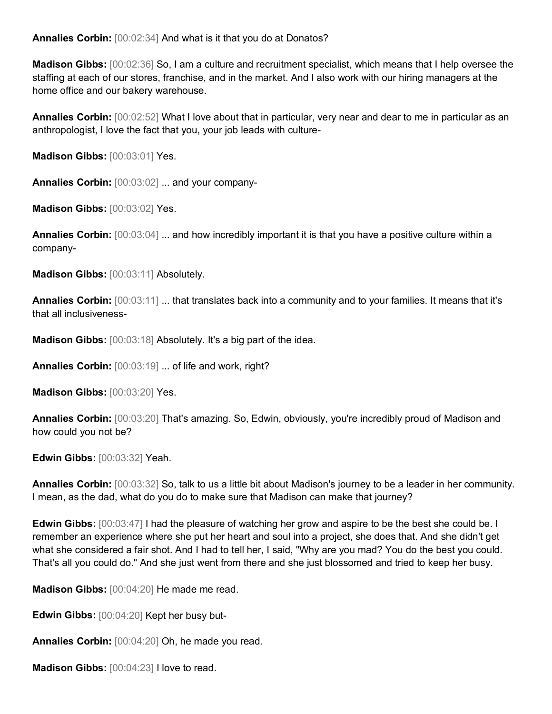**Annalies Corbin:** [00:02:34] And what is it that you do at Donatos?

**Madison Gibbs:** [00:02:36] So, I am a culture and recruitment specialist, which means that I help oversee the staffing at each of our stores, franchise, and in the market. And I also work with our hiring managers at the home office and our bakery warehouse.

**Annalies Corbin:** [00:02:52] What I love about that in particular, very near and dear to me in particular as an anthropologist, I love the fact that you, your job leads with culture-

**Madison Gibbs:** [00:03:01] Yes.

**Annalies Corbin:** [00:03:02] ... and your company-

**Madison Gibbs:** [00:03:02] Yes.

**Annalies Corbin:** [00:03:04] ... and how incredibly important it is that you have a positive culture within a company-

**Madison Gibbs:** [00:03:11] Absolutely.

**Annalies Corbin:** [00:03:11] ... that translates back into a community and to your families. It means that it's that all inclusiveness-

**Madison Gibbs:** [00:03:18] Absolutely. It's a big part of the idea.

**Annalies Corbin:** [00:03:19] ... of life and work, right?

**Madison Gibbs:** [00:03:20] Yes.

**Annalies Corbin:** [00:03:20] That's amazing. So, Edwin, obviously, you're incredibly proud of Madison and how could you not be?

**Edwin Gibbs:** [00:03:32] Yeah.

**Annalies Corbin:** [00:03:32] So, talk to us a little bit about Madison's journey to be a leader in her community. I mean, as the dad, what do you do to make sure that Madison can make that journey?

**Edwin Gibbs:**  $[00:03:47]$  I had the pleasure of watching her grow and aspire to be the best she could be. I remember an experience where she put her heart and soul into a project, she does that. And she didn't get what she considered a fair shot. And I had to tell her, I said, "Why are you mad? You do the best you could. That's all you could do." And she just went from there and she just blossomed and tried to keep her busy.

**Madison Gibbs:** [00:04:20] He made me read.

**Edwin Gibbs:** [00:04:20] Kept her busy but-

**Annalies Corbin:** [00:04:20] Oh, he made you read.

**Madison Gibbs:** [00:04:23] I love to read.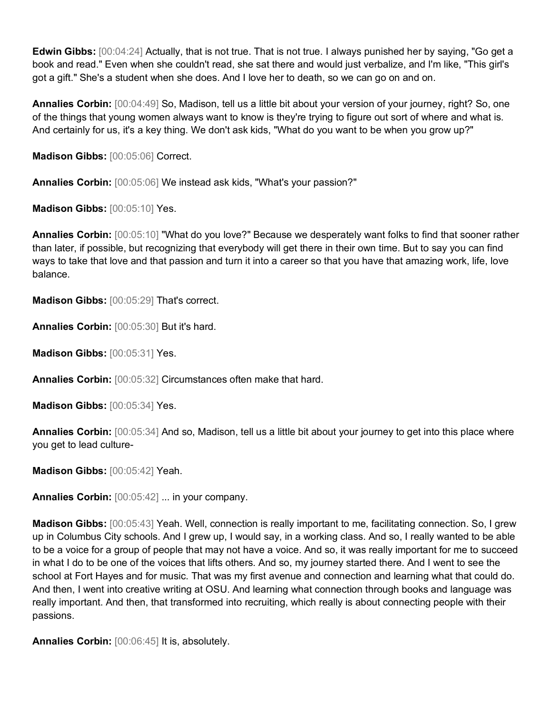**Edwin Gibbs:** [00:04:24] Actually, that is not true. That is not true. I always punished her by saying, "Go get a book and read." Even when she couldn't read, she sat there and would just verbalize, and I'm like, "This girl's got a gift." She's a student when she does. And I love her to death, so we can go on and on.

**Annalies Corbin:** [00:04:49] So, Madison, tell us a little bit about your version of your journey, right? So, one of the things that young women always want to know is they're trying to figure out sort of where and what is. And certainly for us, it's a key thing. We don't ask kids, "What do you want to be when you grow up?"

**Madison Gibbs:** [00:05:06] Correct.

**Annalies Corbin:** [00:05:06] We instead ask kids, "What's your passion?"

**Madison Gibbs:** [00:05:10] Yes.

**Annalies Corbin:** [00:05:10] "What do you love?" Because we desperately want folks to find that sooner rather than later, if possible, but recognizing that everybody will get there in their own time. But to say you can find ways to take that love and that passion and turn it into a career so that you have that amazing work, life, love balance.

**Madison Gibbs:** [00:05:29] That's correct.

**Annalies Corbin:** [00:05:30] But it's hard.

**Madison Gibbs:** [00:05:31] Yes.

**Annalies Corbin:** [00:05:32] Circumstances often make that hard.

**Madison Gibbs:** [00:05:34] Yes.

**Annalies Corbin:** [00:05:34] And so, Madison, tell us a little bit about your journey to get into this place where you get to lead culture-

**Madison Gibbs:** [00:05:42] Yeah.

**Annalies Corbin:** [00:05:42] ... in your company.

**Madison Gibbs:** [00:05:43] Yeah. Well, connection is really important to me, facilitating connection. So, I grew up in Columbus City schools. And I grew up, I would say, in a working class. And so, I really wanted to be able to be a voice for a group of people that may not have a voice. And so, it was really important for me to succeed in what I do to be one of the voices that lifts others. And so, my journey started there. And I went to see the school at Fort Hayes and for music. That was my first avenue and connection and learning what that could do. And then, I went into creative writing at OSU. And learning what connection through books and language was really important. And then, that transformed into recruiting, which really is about connecting people with their passions.

**Annalies Corbin:** [00:06:45] It is, absolutely.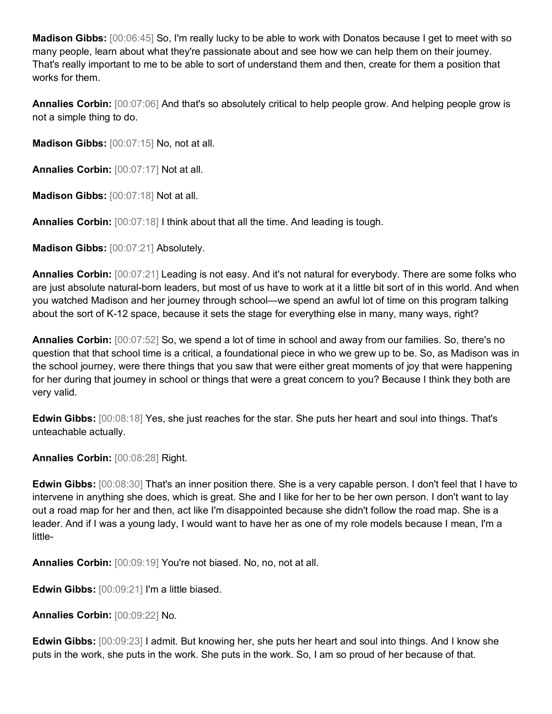**Madison Gibbs:** [00:06:45] So, I'm really lucky to be able to work with Donatos because I get to meet with so many people, learn about what they're passionate about and see how we can help them on their journey. That's really important to me to be able to sort of understand them and then, create for them a position that works for them.

**Annalies Corbin:** [00:07:06] And that's so absolutely critical to help people grow. And helping people grow is not a simple thing to do.

**Madison Gibbs:** [00:07:15] No, not at all.

**Annalies Corbin:** [00:07:17] Not at all.

**Madison Gibbs:** [00:07:18] Not at all.

**Annalies Corbin:** [00:07:18] I think about that all the time. And leading is tough.

**Madison Gibbs:** [00:07:21] Absolutely.

**Annalies Corbin:** [00:07:21] Leading is not easy. And it's not natural for everybody. There are some folks who are just absolute natural-born leaders, but most of us have to work at it a little bit sort of in this world. And when you watched Madison and her journey through school—we spend an awful lot of time on this program talking about the sort of K-12 space, because it sets the stage for everything else in many, many ways, right?

**Annalies Corbin:** [00:07:52] So, we spend a lot of time in school and away from our families. So, there's no question that that school time is a critical, a foundational piece in who we grew up to be. So, as Madison was in the school journey, were there things that you saw that were either great moments of joy that were happening for her during that journey in school or things that were a great concern to you? Because I think they both are very valid.

**Edwin Gibbs:** [00:08:18] Yes, she just reaches for the star. She puts her heart and soul into things. That's unteachable actually.

**Annalies Corbin:** [00:08:28] Right.

**Edwin Gibbs:** [00:08:30] That's an inner position there. She is a very capable person. I don't feel that I have to intervene in anything she does, which is great. She and I like for her to be her own person. I don't want to lay out a road map for her and then, act like I'm disappointed because she didn't follow the road map. She is a leader. And if I was a young lady, I would want to have her as one of my role models because I mean, I'm a little-

**Annalies Corbin:** [00:09:19] You're not biased. No, no, not at all.

**Edwin Gibbs:** [00:09:21] I'm a little biased.

**Annalies Corbin:** [00:09:22] No.

**Edwin Gibbs:** [00:09:23] I admit. But knowing her, she puts her heart and soul into things. And I know she puts in the work, she puts in the work. She puts in the work. So, I am so proud of her because of that.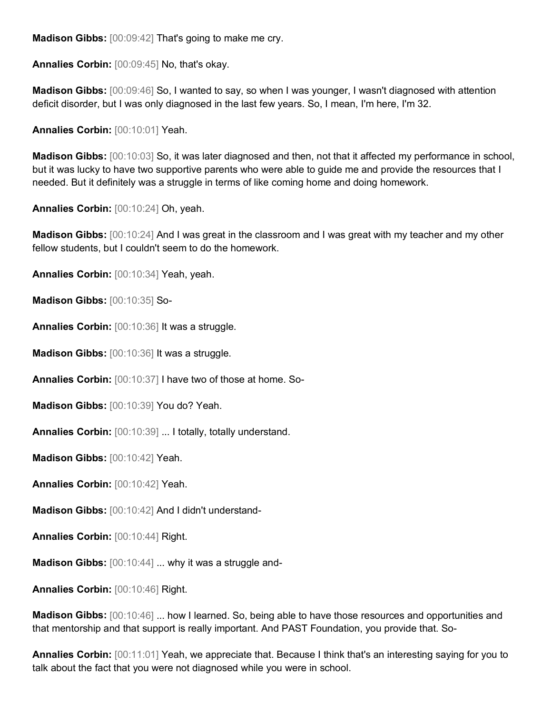**Madison Gibbs:** [00:09:42] That's going to make me cry.

**Annalies Corbin:** [00:09:45] No, that's okay.

**Madison Gibbs:** [00:09:46] So, I wanted to say, so when I was younger, I wasn't diagnosed with attention deficit disorder, but I was only diagnosed in the last few years. So, I mean, I'm here, I'm 32.

**Annalies Corbin:** [00:10:01] Yeah.

**Madison Gibbs:** [00:10:03] So, it was later diagnosed and then, not that it affected my performance in school, but it was lucky to have two supportive parents who were able to guide me and provide the resources that I needed. But it definitely was a struggle in terms of like coming home and doing homework.

**Annalies Corbin:** [00:10:24] Oh, yeah.

**Madison Gibbs:** [00:10:24] And I was great in the classroom and I was great with my teacher and my other fellow students, but I couldn't seem to do the homework.

**Annalies Corbin:** [00:10:34] Yeah, yeah.

**Madison Gibbs:** [00:10:35] So-

**Annalies Corbin:** [00:10:36] It was a struggle.

**Madison Gibbs:** [00:10:36] It was a struggle.

**Annalies Corbin:** [00:10:37] I have two of those at home. So-

**Madison Gibbs:** [00:10:39] You do? Yeah.

**Annalies Corbin:** [00:10:39] ... I totally, totally understand.

**Madison Gibbs:** [00:10:42] Yeah.

**Annalies Corbin:** [00:10:42] Yeah.

**Madison Gibbs:** [00:10:42] And I didn't understand-

**Annalies Corbin:** [00:10:44] Right.

**Madison Gibbs:** [00:10:44] ... why it was a struggle and-

**Annalies Corbin:** [00:10:46] Right.

**Madison Gibbs:** [00:10:46] ... how I learned. So, being able to have those resources and opportunities and that mentorship and that support is really important. And PAST Foundation, you provide that. So-

**Annalies Corbin:** [00:11:01] Yeah, we appreciate that. Because I think that's an interesting saying for you to talk about the fact that you were not diagnosed while you were in school.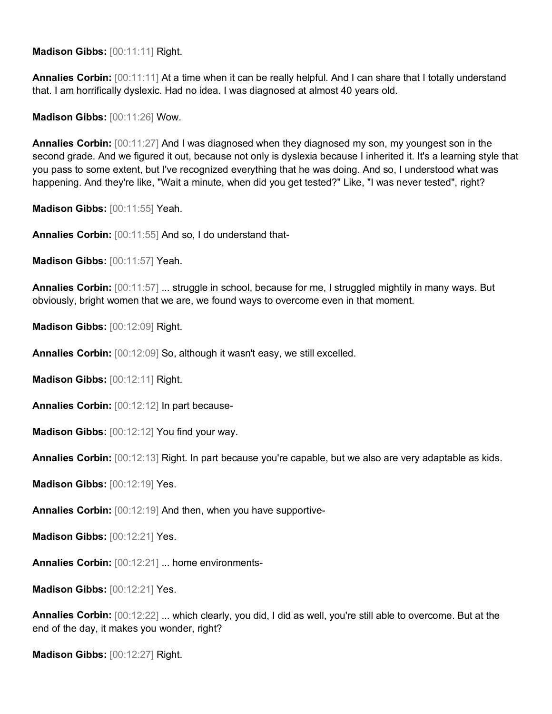**Madison Gibbs:** [00:11:11] Right.

**Annalies Corbin:** [00:11:11] At a time when it can be really helpful. And I can share that I totally understand that. I am horrifically dyslexic. Had no idea. I was diagnosed at almost 40 years old.

**Madison Gibbs:** [00:11:26] Wow.

**Annalies Corbin:** [00:11:27] And I was diagnosed when they diagnosed my son, my youngest son in the second grade. And we figured it out, because not only is dyslexia because I inherited it. It's a learning style that you pass to some extent, but I've recognized everything that he was doing. And so, I understood what was happening. And they're like, "Wait a minute, when did you get tested?" Like, "I was never tested", right?

**Madison Gibbs:** [00:11:55] Yeah.

**Annalies Corbin:** [00:11:55] And so, I do understand that-

**Madison Gibbs:** [00:11:57] Yeah.

**Annalies Corbin:** [00:11:57] ... struggle in school, because for me, I struggled mightily in many ways. But obviously, bright women that we are, we found ways to overcome even in that moment.

**Madison Gibbs:** [00:12:09] Right.

**Annalies Corbin:** [00:12:09] So, although it wasn't easy, we still excelled.

**Madison Gibbs:** [00:12:11] Right.

**Annalies Corbin:** [00:12:12] In part because-

**Madison Gibbs:** [00:12:12] You find your way.

**Annalies Corbin:** [00:12:13] Right. In part because you're capable, but we also are very adaptable as kids.

**Madison Gibbs:** [00:12:19] Yes.

**Annalies Corbin:** [00:12:19] And then, when you have supportive-

**Madison Gibbs:** [00:12:21] Yes.

**Annalies Corbin:** [00:12:21] ... home environments-

**Madison Gibbs:** [00:12:21] Yes.

**Annalies Corbin:** [00:12:22] ... which clearly, you did, I did as well, you're still able to overcome. But at the end of the day, it makes you wonder, right?

**Madison Gibbs:** [00:12:27] Right.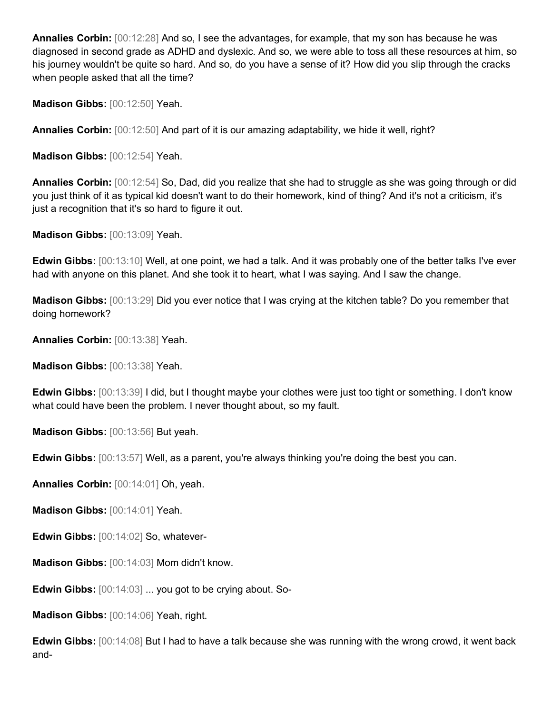**Annalies Corbin:** [00:12:28] And so, I see the advantages, for example, that my son has because he was diagnosed in second grade as ADHD and dyslexic. And so, we were able to toss all these resources at him, so his journey wouldn't be quite so hard. And so, do you have a sense of it? How did you slip through the cracks when people asked that all the time?

**Madison Gibbs:** [00:12:50] Yeah.

**Annalies Corbin:** [00:12:50] And part of it is our amazing adaptability, we hide it well, right?

**Madison Gibbs:** [00:12:54] Yeah.

**Annalies Corbin:** [00:12:54] So, Dad, did you realize that she had to struggle as she was going through or did you just think of it as typical kid doesn't want to do their homework, kind of thing? And it's not a criticism, it's just a recognition that it's so hard to figure it out.

**Madison Gibbs:** [00:13:09] Yeah.

**Edwin Gibbs:** [00:13:10] Well, at one point, we had a talk. And it was probably one of the better talks I've ever had with anyone on this planet. And she took it to heart, what I was saying. And I saw the change.

**Madison Gibbs:** [00:13:29] Did you ever notice that I was crying at the kitchen table? Do you remember that doing homework?

**Annalies Corbin:** [00:13:38] Yeah.

**Madison Gibbs:** [00:13:38] Yeah.

**Edwin Gibbs:** [00:13:39] I did, but I thought maybe your clothes were just too tight or something. I don't know what could have been the problem. I never thought about, so my fault.

**Madison Gibbs:** [00:13:56] But yeah.

**Edwin Gibbs:** [00:13:57] Well, as a parent, you're always thinking you're doing the best you can.

**Annalies Corbin:** [00:14:01] Oh, yeah.

**Madison Gibbs:** [00:14:01] Yeah.

**Edwin Gibbs:** [00:14:02] So, whatever-

**Madison Gibbs:** [00:14:03] Mom didn't know.

**Edwin Gibbs:** [00:14:03] ... you got to be crying about. So-

**Madison Gibbs:** [00:14:06] Yeah, right.

**Edwin Gibbs:** [00:14:08] But I had to have a talk because she was running with the wrong crowd, it went back and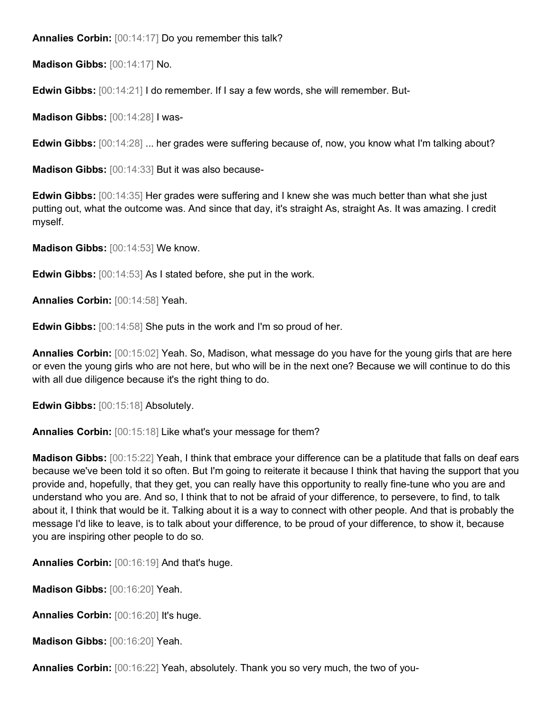**Annalies Corbin:** [00:14:17] Do you remember this talk?

**Madison Gibbs:** [00:14:17] No.

**Edwin Gibbs:** [00:14:21] I do remember. If I say a few words, she will remember. But-

**Madison Gibbs:** [00:14:28] I was-

**Edwin Gibbs:** [00:14:28] ... her grades were suffering because of, now, you know what I'm talking about?

**Madison Gibbs:** [00:14:33] But it was also because-

**Edwin Gibbs:** [00:14:35] Her grades were suffering and I knew she was much better than what she just putting out, what the outcome was. And since that day, it's straight As, straight As. It was amazing. I credit myself.

**Madison Gibbs:** [00:14:53] We know.

**Edwin Gibbs:** [00:14:53] As I stated before, she put in the work.

**Annalies Corbin:** [00:14:58] Yeah.

**Edwin Gibbs:** [00:14:58] She puts in the work and I'm so proud of her.

**Annalies Corbin:** [00:15:02] Yeah. So, Madison, what message do you have for the young girls that are here or even the young girls who are not here, but who will be in the next one? Because we will continue to do this with all due diligence because it's the right thing to do.

**Edwin Gibbs:** [00:15:18] Absolutely.

**Annalies Corbin:** [00:15:18] Like what's your message for them?

**Madison Gibbs:** [00:15:22] Yeah, I think that embrace your difference can be a platitude that falls on deaf ears because we've been told it so often. But I'm going to reiterate it because I think that having the support that you provide and, hopefully, that they get, you can really have this opportunity to really fine-tune who you are and understand who you are. And so, I think that to not be afraid of your difference, to persevere, to find, to talk about it, I think that would be it. Talking about it is a way to connect with other people. And that is probably the message I'd like to leave, is to talk about your difference, to be proud of your difference, to show it, because you are inspiring other people to do so.

**Annalies Corbin:** [00:16:19] And that's huge.

**Madison Gibbs:** [00:16:20] Yeah.

**Annalies Corbin:** [00:16:20] It's huge.

**Madison Gibbs:** [00:16:20] Yeah.

**Annalies Corbin:** [00:16:22] Yeah, absolutely. Thank you so very much, the two of you-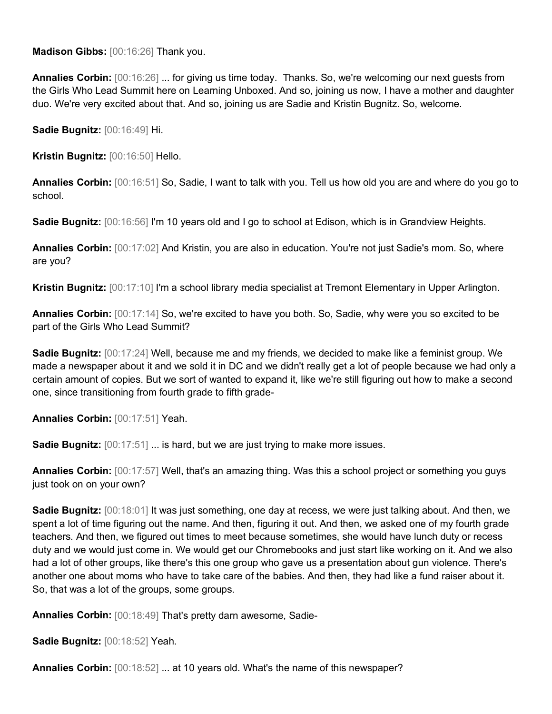**Madison Gibbs:** [00:16:26] Thank you.

**Annalies Corbin:** [00:16:26] ... for giving us time today. Thanks. So, we're welcoming our next guests from the Girls Who Lead Summit here on Learning Unboxed. And so, joining us now, I have a mother and daughter duo. We're very excited about that. And so, joining us are Sadie and Kristin Bugnitz. So, welcome.

**Sadie Bugnitz:** [00:16:49] Hi.

**Kristin Bugnitz:** [00:16:50] Hello.

**Annalies Corbin:** [00:16:51] So, Sadie, I want to talk with you. Tell us how old you are and where do you go to school.

**Sadie Bugnitz:** [00:16:56] I'm 10 years old and I go to school at Edison, which is in Grandview Heights.

**Annalies Corbin:** [00:17:02] And Kristin, you are also in education. You're not just Sadie's mom. So, where are you?

**Kristin Bugnitz:** [00:17:10] I'm a school library media specialist at Tremont Elementary in Upper Arlington.

**Annalies Corbin:** [00:17:14] So, we're excited to have you both. So, Sadie, why were you so excited to be part of the Girls Who Lead Summit?

**Sadie Bugnitz:** [00:17:24] Well, because me and my friends, we decided to make like a feminist group. We made a newspaper about it and we sold it in DC and we didn't really get a lot of people because we had only a certain amount of copies. But we sort of wanted to expand it, like we're still figuring out how to make a second one, since transitioning from fourth grade to fifth grade-

**Annalies Corbin:** [00:17:51] Yeah.

**Sadie Bugnitz:**  $[00:17:51]$  ... is hard, but we are just trying to make more issues.

**Annalies Corbin:** [00:17:57] Well, that's an amazing thing. Was this a school project or something you guys just took on on your own?

**Sadie Bugnitz:** [00:18:01] It was just something, one day at recess, we were just talking about. And then, we spent a lot of time figuring out the name. And then, figuring it out. And then, we asked one of my fourth grade teachers. And then, we figured out times to meet because sometimes, she would have lunch duty or recess duty and we would just come in. We would get our Chromebooks and just start like working on it. And we also had a lot of other groups, like there's this one group who gave us a presentation about gun violence. There's another one about moms who have to take care of the babies. And then, they had like a fund raiser about it. So, that was a lot of the groups, some groups.

**Annalies Corbin:** [00:18:49] That's pretty darn awesome, Sadie-

**Sadie Bugnitz:** [00:18:52] Yeah.

**Annalies Corbin:** [00:18:52] ... at 10 years old. What's the name of this newspaper?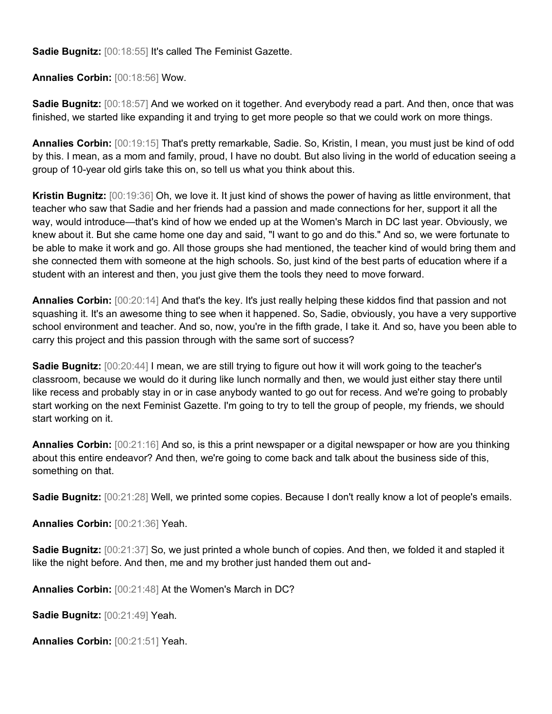**Sadie Bugnitz:** [00:18:55] It's called The Feminist Gazette.

**Annalies Corbin:** [00:18:56] Wow.

**Sadie Bugnitz:** [00:18:57] And we worked on it together. And everybody read a part. And then, once that was finished, we started like expanding it and trying to get more people so that we could work on more things.

**Annalies Corbin:** [00:19:15] That's pretty remarkable, Sadie. So, Kristin, I mean, you must just be kind of odd by this. I mean, as a mom and family, proud, I have no doubt. But also living in the world of education seeing a group of 10-year old girls take this on, so tell us what you think about this.

**Kristin Bugnitz:** [00:19:36] Oh, we love it. It just kind of shows the power of having as little environment, that teacher who saw that Sadie and her friends had a passion and made connections for her, support it all the way, would introduce—that's kind of how we ended up at the Women's March in DC last year. Obviously, we knew about it. But she came home one day and said, "I want to go and do this." And so, we were fortunate to be able to make it work and go. All those groups she had mentioned, the teacher kind of would bring them and she connected them with someone at the high schools. So, just kind of the best parts of education where if a student with an interest and then, you just give them the tools they need to move forward.

**Annalies Corbin:** [00:20:14] And that's the key. It's just really helping these kiddos find that passion and not squashing it. It's an awesome thing to see when it happened. So, Sadie, obviously, you have a very supportive school environment and teacher. And so, now, you're in the fifth grade, I take it. And so, have you been able to carry this project and this passion through with the same sort of success?

**Sadie Bugnitz:** [00:20:44] I mean, we are still trying to figure out how it will work going to the teacher's classroom, because we would do it during like lunch normally and then, we would just either stay there until like recess and probably stay in or in case anybody wanted to go out for recess. And we're going to probably start working on the next Feminist Gazette. I'm going to try to tell the group of people, my friends, we should start working on it.

**Annalies Corbin:** [00:21:16] And so, is this a print newspaper or a digital newspaper or how are you thinking about this entire endeavor? And then, we're going to come back and talk about the business side of this, something on that.

**Sadie Bugnitz:** [00:21:28] Well, we printed some copies. Because I don't really know a lot of people's emails.

**Annalies Corbin:** [00:21:36] Yeah.

**Sadie Bugnitz:** [00:21:37] So, we just printed a whole bunch of copies. And then, we folded it and stapled it like the night before. And then, me and my brother just handed them out and-

**Annalies Corbin:** [00:21:48] At the Women's March in DC?

**Sadie Bugnitz:** [00:21:49] Yeah.

**Annalies Corbin:** [00:21:51] Yeah.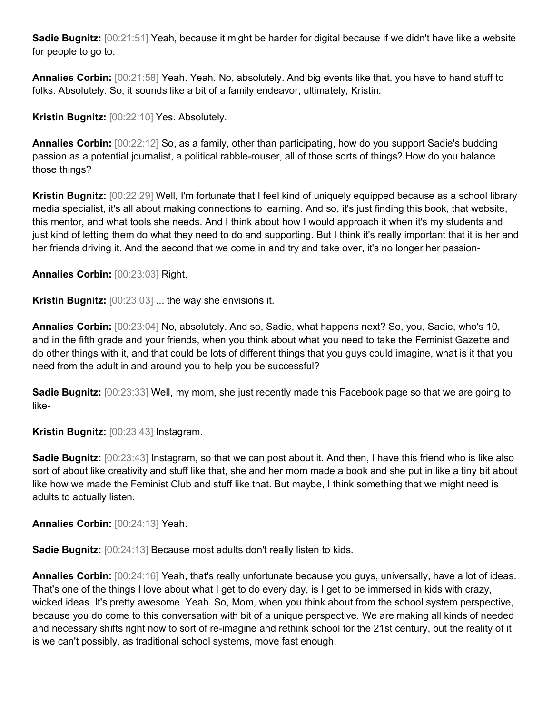**Sadie Bugnitz:** [00:21:51] Yeah, because it might be harder for digital because if we didn't have like a website for people to go to.

**Annalies Corbin:** [00:21:58] Yeah. Yeah. No, absolutely. And big events like that, you have to hand stuff to folks. Absolutely. So, it sounds like a bit of a family endeavor, ultimately, Kristin.

**Kristin Bugnitz:** [00:22:10] Yes. Absolutely.

**Annalies Corbin:** [00:22:12] So, as a family, other than participating, how do you support Sadie's budding passion as a potential journalist, a political rabble-rouser, all of those sorts of things? How do you balance those things?

**Kristin Bugnitz:** [00:22:29] Well, I'm fortunate that I feel kind of uniquely equipped because as a school library media specialist, it's all about making connections to learning. And so, it's just finding this book, that website, this mentor, and what tools she needs. And I think about how I would approach it when it's my students and just kind of letting them do what they need to do and supporting. But I think it's really important that it is her and her friends driving it. And the second that we come in and try and take over, it's no longer her passion-

**Annalies Corbin:** [00:23:03] Right.

**Kristin Bugnitz:** [00:23:03] ... the way she envisions it.

**Annalies Corbin:** [00:23:04] No, absolutely. And so, Sadie, what happens next? So, you, Sadie, who's 10, and in the fifth grade and your friends, when you think about what you need to take the Feminist Gazette and do other things with it, and that could be lots of different things that you guys could imagine, what is it that you need from the adult in and around you to help you be successful?

**Sadie Bugnitz:** [00:23:33] Well, my mom, she just recently made this Facebook page so that we are going to like-

**Kristin Bugnitz:** [00:23:43] Instagram.

**Sadie Bugnitz:** [00:23:43] Instagram, so that we can post about it. And then, I have this friend who is like also sort of about like creativity and stuff like that, she and her mom made a book and she put in like a tiny bit about like how we made the Feminist Club and stuff like that. But maybe, I think something that we might need is adults to actually listen.

**Annalies Corbin:** [00:24:13] Yeah.

**Sadie Bugnitz:** [00:24:13] Because most adults don't really listen to kids.

**Annalies Corbin:** [00:24:16] Yeah, that's really unfortunate because you guys, universally, have a lot of ideas. That's one of the things I love about what I get to do every day, is I get to be immersed in kids with crazy, wicked ideas. It's pretty awesome. Yeah. So, Mom, when you think about from the school system perspective, because you do come to this conversation with bit of a unique perspective. We are making all kinds of needed and necessary shifts right now to sort of re-imagine and rethink school for the 21st century, but the reality of it is we can't possibly, as traditional school systems, move fast enough.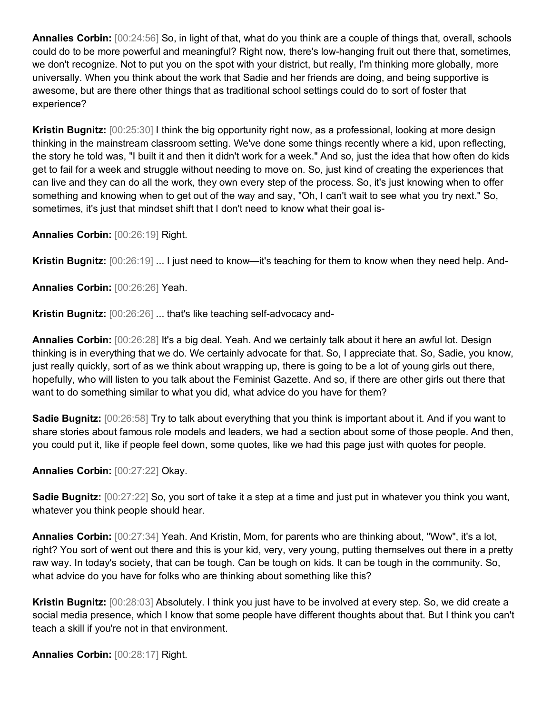**Annalies Corbin:** [00:24:56] So, in light of that, what do you think are a couple of things that, overall, schools could do to be more powerful and meaningful? Right now, there's low-hanging fruit out there that, sometimes, we don't recognize. Not to put you on the spot with your district, but really, I'm thinking more globally, more universally. When you think about the work that Sadie and her friends are doing, and being supportive is awesome, but are there other things that as traditional school settings could do to sort of foster that experience?

**Kristin Bugnitz:** [00:25:30] I think the big opportunity right now, as a professional, looking at more design thinking in the mainstream classroom setting. We've done some things recently where a kid, upon reflecting, the story he told was, "I built it and then it didn't work for a week." And so, just the idea that how often do kids get to fail for a week and struggle without needing to move on. So, just kind of creating the experiences that can live and they can do all the work, they own every step of the process. So, it's just knowing when to offer something and knowing when to get out of the way and say, "Oh, I can't wait to see what you try next." So, sometimes, it's just that mindset shift that I don't need to know what their goal is-

**Annalies Corbin:** [00:26:19] Right.

**Kristin Bugnitz:** [00:26:19] ... I just need to know—it's teaching for them to know when they need help. And-

**Annalies Corbin:** [00:26:26] Yeah.

**Kristin Bugnitz:** [00:26:26] ... that's like teaching self-advocacy and-

**Annalies Corbin:** [00:26:28] It's a big deal. Yeah. And we certainly talk about it here an awful lot. Design thinking is in everything that we do. We certainly advocate for that. So, I appreciate that. So, Sadie, you know, just really quickly, sort of as we think about wrapping up, there is going to be a lot of young girls out there, hopefully, who will listen to you talk about the Feminist Gazette. And so, if there are other girls out there that want to do something similar to what you did, what advice do you have for them?

**Sadie Bugnitz:** [00:26:58] Try to talk about everything that you think is important about it. And if you want to share stories about famous role models and leaders, we had a section about some of those people. And then, you could put it, like if people feel down, some quotes, like we had this page just with quotes for people.

## **Annalies Corbin:** [00:27:22] Okay.

**Sadie Bugnitz:** [00:27:22] So, you sort of take it a step at a time and just put in whatever you think you want, whatever you think people should hear.

**Annalies Corbin:** [00:27:34] Yeah. And Kristin, Mom, for parents who are thinking about, "Wow", it's a lot, right? You sort of went out there and this is your kid, very, very young, putting themselves out there in a pretty raw way. In today's society, that can be tough. Can be tough on kids. It can be tough in the community. So, what advice do you have for folks who are thinking about something like this?

**Kristin Bugnitz:** [00:28:03] Absolutely. I think you just have to be involved at every step. So, we did create a social media presence, which I know that some people have different thoughts about that. But I think you can't teach a skill if you're not in that environment.

**Annalies Corbin:** [00:28:17] Right.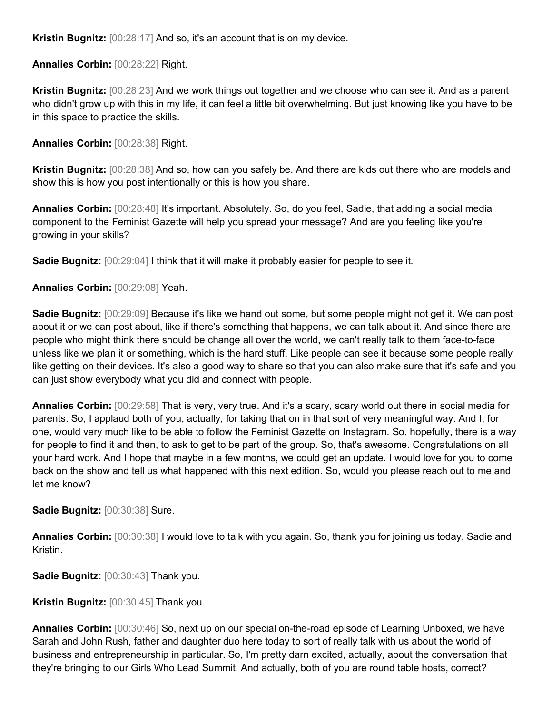**Kristin Bugnitz:** [00:28:17] And so, it's an account that is on my device.

**Annalies Corbin:** [00:28:22] Right.

**Kristin Bugnitz:** [00:28:23] And we work things out together and we choose who can see it. And as a parent who didn't grow up with this in my life, it can feel a little bit overwhelming. But just knowing like you have to be in this space to practice the skills.

**Annalies Corbin:** [00:28:38] Right.

**Kristin Bugnitz:** [00:28:38] And so, how can you safely be. And there are kids out there who are models and show this is how you post intentionally or this is how you share.

**Annalies Corbin:** [00:28:48] It's important. Absolutely. So, do you feel, Sadie, that adding a social media component to the Feminist Gazette will help you spread your message? And are you feeling like you're growing in your skills?

**Sadie Bugnitz:**  $[00:29:04]$  I think that it will make it probably easier for people to see it.

**Annalies Corbin:** [00:29:08] Yeah.

**Sadie Bugnitz:** [00:29:09] Because it's like we hand out some, but some people might not get it. We can post about it or we can post about, like if there's something that happens, we can talk about it. And since there are people who might think there should be change all over the world, we can't really talk to them face-to-face unless like we plan it or something, which is the hard stuff. Like people can see it because some people really like getting on their devices. It's also a good way to share so that you can also make sure that it's safe and you can just show everybody what you did and connect with people.

**Annalies Corbin:** [00:29:58] That is very, very true. And it's a scary, scary world out there in social media for parents. So, I applaud both of you, actually, for taking that on in that sort of very meaningful way. And I, for one, would very much like to be able to follow the Feminist Gazette on Instagram. So, hopefully, there is a way for people to find it and then, to ask to get to be part of the group. So, that's awesome. Congratulations on all your hard work. And I hope that maybe in a few months, we could get an update. I would love for you to come back on the show and tell us what happened with this next edition. So, would you please reach out to me and let me know?

**Sadie Bugnitz:** [00:30:38] Sure.

**Annalies Corbin:** [00:30:38] I would love to talk with you again. So, thank you for joining us today, Sadie and Kristin.

**Sadie Bugnitz:** [00:30:43] Thank you.

**Kristin Bugnitz:** [00:30:45] Thank you.

**Annalies Corbin:** [00:30:46] So, next up on our special on-the-road episode of Learning Unboxed, we have Sarah and John Rush, father and daughter duo here today to sort of really talk with us about the world of business and entrepreneurship in particular. So, I'm pretty darn excited, actually, about the conversation that they're bringing to our Girls Who Lead Summit. And actually, both of you are round table hosts, correct?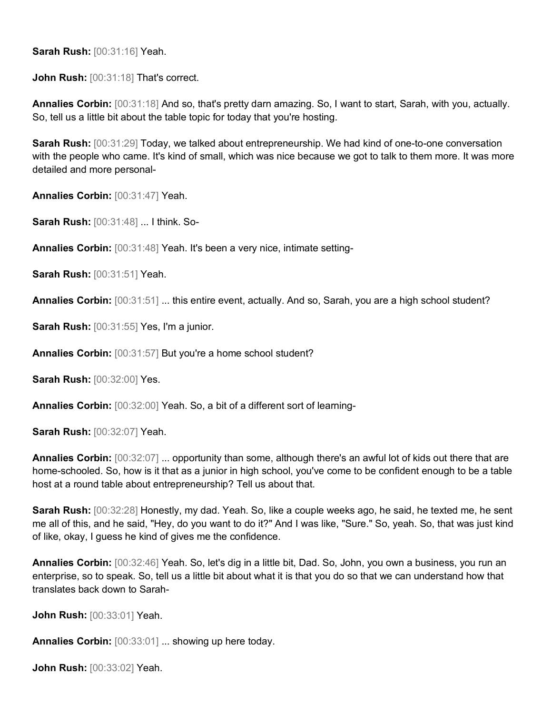**Sarah Rush:** [00:31:16] Yeah.

**John Rush:** [00:31:18] That's correct.

**Annalies Corbin:** [00:31:18] And so, that's pretty darn amazing. So, I want to start, Sarah, with you, actually. So, tell us a little bit about the table topic for today that you're hosting.

**Sarah Rush:** [00:31:29] Today, we talked about entrepreneurship. We had kind of one-to-one conversation with the people who came. It's kind of small, which was nice because we got to talk to them more. It was more detailed and more personal-

**Annalies Corbin:** [00:31:47] Yeah.

**Sarah Rush:** [00:31:48] ... I think. So-

**Annalies Corbin:** [00:31:48] Yeah. It's been a very nice, intimate setting-

**Sarah Rush:** [00:31:51] Yeah.

**Annalies Corbin:** [00:31:51] ... this entire event, actually. And so, Sarah, you are a high school student?

**Sarah Rush:** [00:31:55] Yes, I'm a junior.

**Annalies Corbin:** [00:31:57] But you're a home school student?

**Sarah Rush:** [00:32:00] Yes.

**Annalies Corbin:** [00:32:00] Yeah. So, a bit of a different sort of learning-

**Sarah Rush:** [00:32:07] Yeah.

**Annalies Corbin:** [00:32:07] ... opportunity than some, although there's an awful lot of kids out there that are home-schooled. So, how is it that as a junior in high school, you've come to be confident enough to be a table host at a round table about entrepreneurship? Tell us about that.

**Sarah Rush:** [00:32:28] Honestly, my dad. Yeah. So, like a couple weeks ago, he said, he texted me, he sent me all of this, and he said, "Hey, do you want to do it?" And I was like, "Sure." So, yeah. So, that was just kind of like, okay, I guess he kind of gives me the confidence.

**Annalies Corbin:** [00:32:46] Yeah. So, let's dig in a little bit, Dad. So, John, you own a business, you run an enterprise, so to speak. So, tell us a little bit about what it is that you do so that we can understand how that translates back down to Sarah-

**John Rush:** [00:33:01] Yeah.

**Annalies Corbin:** [00:33:01] ... showing up here today.

**John Rush:** [00:33:02] Yeah.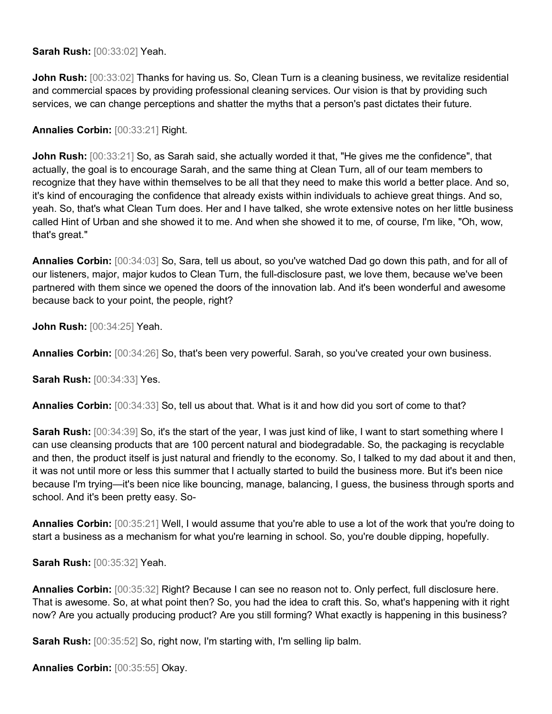**Sarah Rush:** [00:33:02] Yeah.

**John Rush:** [00:33:02] Thanks for having us. So, Clean Turn is a cleaning business, we revitalize residential and commercial spaces by providing professional cleaning services. Our vision is that by providing such services, we can change perceptions and shatter the myths that a person's past dictates their future.

## **Annalies Corbin:** [00:33:21] Right.

**John Rush:**  $[00:33:21]$  So, as Sarah said, she actually worded it that, "He gives me the confidence", that actually, the goal is to encourage Sarah, and the same thing at Clean Turn, all of our team members to recognize that they have within themselves to be all that they need to make this world a better place. And so, it's kind of encouraging the confidence that already exists within individuals to achieve great things. And so, yeah. So, that's what Clean Turn does. Her and I have talked, she wrote extensive notes on her little business called Hint of Urban and she showed it to me. And when she showed it to me, of course, I'm like, "Oh, wow, that's great."

**Annalies Corbin:** [00:34:03] So, Sara, tell us about, so you've watched Dad go down this path, and for all of our listeners, major, major kudos to Clean Turn, the full-disclosure past, we love them, because we've been partnered with them since we opened the doors of the innovation lab. And it's been wonderful and awesome because back to your point, the people, right?

**John Rush:** [00:34:25] Yeah.

**Annalies Corbin:** [00:34:26] So, that's been very powerful. Sarah, so you've created your own business.

**Sarah Rush:** [00:34:33] Yes.

**Annalies Corbin:** [00:34:33] So, tell us about that. What is it and how did you sort of come to that?

**Sarah Rush:** [00:34:39] So, it's the start of the year, I was just kind of like, I want to start something where I can use cleansing products that are 100 percent natural and biodegradable. So, the packaging is recyclable and then, the product itself is just natural and friendly to the economy. So, I talked to my dad about it and then, it was not until more or less this summer that I actually started to build the business more. But it's been nice because I'm trying—it's been nice like bouncing, manage, balancing, I guess, the business through sports and school. And it's been pretty easy. So-

**Annalies Corbin:** [00:35:21] Well, I would assume that you're able to use a lot of the work that you're doing to start a business as a mechanism for what you're learning in school. So, you're double dipping, hopefully.

**Sarah Rush:** [00:35:32] Yeah.

**Annalies Corbin:** [00:35:32] Right? Because I can see no reason not to. Only perfect, full disclosure here. That is awesome. So, at what point then? So, you had the idea to craft this. So, what's happening with it right now? Are you actually producing product? Are you still forming? What exactly is happening in this business?

**Sarah Rush:** [00:35:52] So, right now, I'm starting with, I'm selling lip balm.

**Annalies Corbin:** [00:35:55] Okay.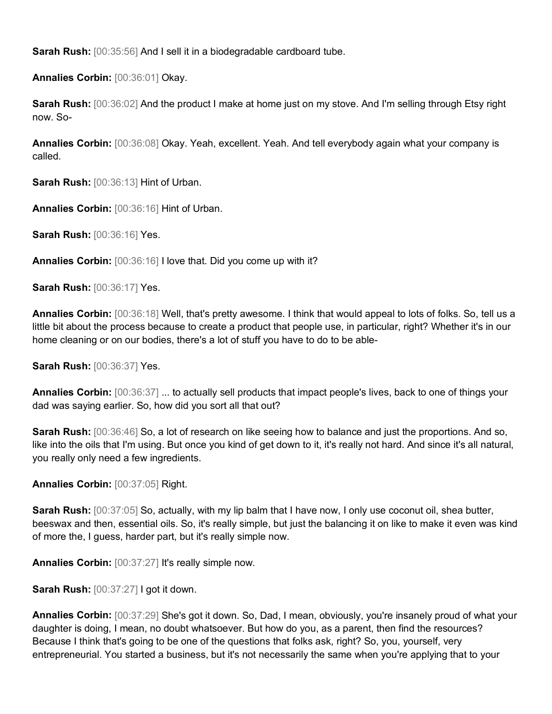**Sarah Rush:** [00:35:56] And I sell it in a biodegradable cardboard tube.

**Annalies Corbin:** [00:36:01] Okay.

**Sarah Rush:** [00:36:02] And the product I make at home just on my stove. And I'm selling through Etsy right now. So-

**Annalies Corbin:** [00:36:08] Okay. Yeah, excellent. Yeah. And tell everybody again what your company is called.

**Sarah Rush:** [00:36:13] Hint of Urban.

**Annalies Corbin:** [00:36:16] Hint of Urban.

**Sarah Rush:** [00:36:16] Yes.

**Annalies Corbin:** [00:36:16] I love that. Did you come up with it?

**Sarah Rush:** [00:36:17] Yes.

**Annalies Corbin:** [00:36:18] Well, that's pretty awesome. I think that would appeal to lots of folks. So, tell us a little bit about the process because to create a product that people use, in particular, right? Whether it's in our home cleaning or on our bodies, there's a lot of stuff you have to do to be able-

**Sarah Rush:** [00:36:37] Yes.

**Annalies Corbin:** [00:36:37] ... to actually sell products that impact people's lives, back to one of things your dad was saying earlier. So, how did you sort all that out?

**Sarah Rush:** [00:36:46] So, a lot of research on like seeing how to balance and just the proportions. And so, like into the oils that I'm using. But once you kind of get down to it, it's really not hard. And since it's all natural, you really only need a few ingredients.

**Annalies Corbin:** [00:37:05] Right.

Sarah Rush: [00:37:05] So, actually, with my lip balm that I have now, I only use coconut oil, shea butter, beeswax and then, essential oils. So, it's really simple, but just the balancing it on like to make it even was kind of more the, I guess, harder part, but it's really simple now.

**Annalies Corbin:** [00:37:27] It's really simple now.

**Sarah Rush:** [00:37:27] I got it down.

**Annalies Corbin:** [00:37:29] She's got it down. So, Dad, I mean, obviously, you're insanely proud of what your daughter is doing, I mean, no doubt whatsoever. But how do you, as a parent, then find the resources? Because I think that's going to be one of the questions that folks ask, right? So, you, yourself, very entrepreneurial. You started a business, but it's not necessarily the same when you're applying that to your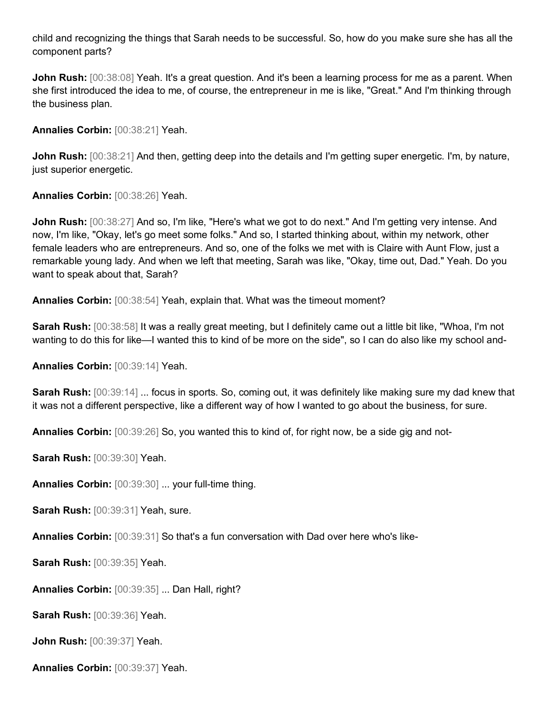child and recognizing the things that Sarah needs to be successful. So, how do you make sure she has all the component parts?

**John Rush:**  $[00:38:08]$  Yeah. It's a great question. And it's been a learning process for me as a parent. When she first introduced the idea to me, of course, the entrepreneur in me is like, "Great." And I'm thinking through the business plan.

**Annalies Corbin:** [00:38:21] Yeah.

**John Rush:** [00:38:21] And then, getting deep into the details and I'm getting super energetic. I'm, by nature, just superior energetic.

**Annalies Corbin:** [00:38:26] Yeah.

**John Rush:** [00:38:27] And so, I'm like, "Here's what we got to do next." And I'm getting very intense. And now, I'm like, "Okay, let's go meet some folks." And so, I started thinking about, within my network, other female leaders who are entrepreneurs. And so, one of the folks we met with is Claire with Aunt Flow, just a remarkable young lady. And when we left that meeting, Sarah was like, "Okay, time out, Dad." Yeah. Do you want to speak about that, Sarah?

**Annalies Corbin:** [00:38:54] Yeah, explain that. What was the timeout moment?

**Sarah Rush:** [00:38:58] It was a really great meeting, but I definitely came out a little bit like, "Whoa, I'm not wanting to do this for like—I wanted this to kind of be more on the side", so I can do also like my school and-

**Annalies Corbin:** [00:39:14] Yeah.

**Sarah Rush:** [00:39:14] ... focus in sports. So, coming out, it was definitely like making sure my dad knew that it was not a different perspective, like a different way of how I wanted to go about the business, for sure.

**Annalies Corbin:** [00:39:26] So, you wanted this to kind of, for right now, be a side gig and not-

**Sarah Rush:** [00:39:30] Yeah.

**Annalies Corbin:** [00:39:30] ... your full-time thing.

**Sarah Rush:** [00:39:31] Yeah, sure.

**Annalies Corbin:** [00:39:31] So that's a fun conversation with Dad over here who's like-

**Sarah Rush:** [00:39:35] Yeah.

**Annalies Corbin:** [00:39:35] ... Dan Hall, right?

**Sarah Rush:** [00:39:36] Yeah.

**John Rush:** [00:39:37] Yeah.

**Annalies Corbin:** [00:39:37] Yeah.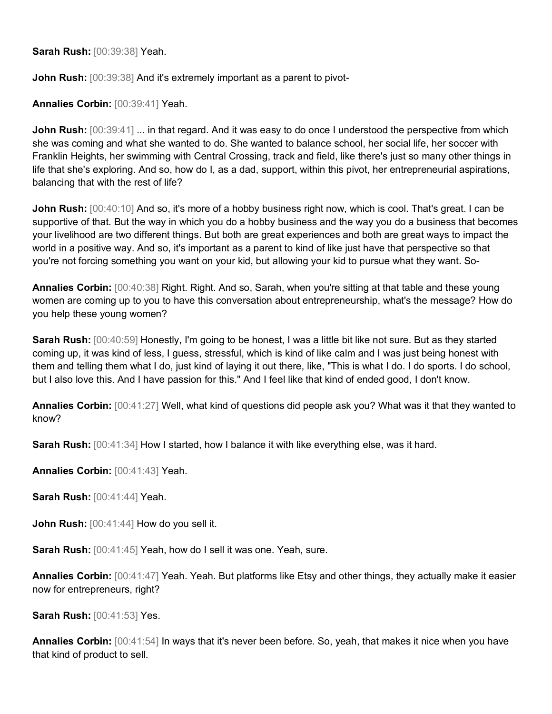**Sarah Rush:** [00:39:38] Yeah.

**John Rush:**  $[00:39:38]$  And it's extremely important as a parent to pivot-

**Annalies Corbin:** [00:39:41] Yeah.

**John Rush:**  $[00:39:41]$  ... in that regard. And it was easy to do once I understood the perspective from which she was coming and what she wanted to do. She wanted to balance school, her social life, her soccer with Franklin Heights, her swimming with Central Crossing, track and field, like there's just so many other things in life that she's exploring. And so, how do I, as a dad, support, within this pivot, her entrepreneurial aspirations, balancing that with the rest of life?

**John Rush:**  $[00:40:10]$  And so, it's more of a hobby business right now, which is cool. That's great. I can be supportive of that. But the way in which you do a hobby business and the way you do a business that becomes your livelihood are two different things. But both are great experiences and both are great ways to impact the world in a positive way. And so, it's important as a parent to kind of like just have that perspective so that you're not forcing something you want on your kid, but allowing your kid to pursue what they want. So-

**Annalies Corbin:** [00:40:38] Right. Right. And so, Sarah, when you're sitting at that table and these young women are coming up to you to have this conversation about entrepreneurship, what's the message? How do you help these young women?

**Sarah Rush:** [00:40:59] Honestly, I'm going to be honest, I was a little bit like not sure. But as they started coming up, it was kind of less, I guess, stressful, which is kind of like calm and I was just being honest with them and telling them what I do, just kind of laying it out there, like, "This is what I do. I do sports. I do school, but I also love this. And I have passion for this." And I feel like that kind of ended good, I don't know.

**Annalies Corbin:** [00:41:27] Well, what kind of questions did people ask you? What was it that they wanted to know?

**Sarah Rush:** [00:41:34] How I started, how I balance it with like everything else, was it hard.

**Annalies Corbin:** [00:41:43] Yeah.

**Sarah Rush:** [00:41:44] Yeah.

**John Rush:**  $[00:41:44]$  How do you sell it.

**Sarah Rush:** [00:41:45] Yeah, how do I sell it was one. Yeah, sure.

**Annalies Corbin:** [00:41:47] Yeah. Yeah. But platforms like Etsy and other things, they actually make it easier now for entrepreneurs, right?

**Sarah Rush:** [00:41:53] Yes.

**Annalies Corbin:** [00:41:54] In ways that it's never been before. So, yeah, that makes it nice when you have that kind of product to sell.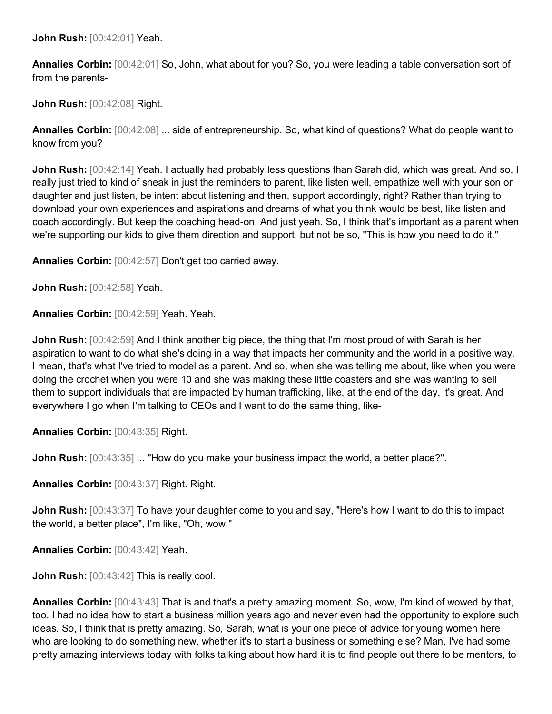**John Rush:** [00:42:01] Yeah.

**Annalies Corbin:** [00:42:01] So, John, what about for you? So, you were leading a table conversation sort of from the parents-

**John Rush:** [00:42:08] Right.

**Annalies Corbin:** [00:42:08] ... side of entrepreneurship. So, what kind of questions? What do people want to know from you?

**John Rush:** [00:42:14] Yeah. I actually had probably less questions than Sarah did, which was great. And so, I really just tried to kind of sneak in just the reminders to parent, like listen well, empathize well with your son or daughter and just listen, be intent about listening and then, support accordingly, right? Rather than trying to download your own experiences and aspirations and dreams of what you think would be best, like listen and coach accordingly. But keep the coaching head-on. And just yeah. So, I think that's important as a parent when we're supporting our kids to give them direction and support, but not be so, "This is how you need to do it."

**Annalies Corbin:** [00:42:57] Don't get too carried away.

**John Rush:** [00:42:58] Yeah.

**Annalies Corbin:** [00:42:59] Yeah. Yeah.

**John Rush:**  $[00:42:59]$  And I think another big piece, the thing that I'm most proud of with Sarah is her aspiration to want to do what she's doing in a way that impacts her community and the world in a positive way. I mean, that's what I've tried to model as a parent. And so, when she was telling me about, like when you were doing the crochet when you were 10 and she was making these little coasters and she was wanting to sell them to support individuals that are impacted by human trafficking, like, at the end of the day, it's great. And everywhere I go when I'm talking to CEOs and I want to do the same thing, like-

**Annalies Corbin:** [00:43:35] Right.

**John Rush:**  $[00:43:35]$  ... "How do you make your business impact the world, a better place?".

**Annalies Corbin:** [00:43:37] Right. Right.

**John Rush:** [00:43:37] To have your daughter come to you and say, "Here's how I want to do this to impact the world, a better place", I'm like, "Oh, wow."

**Annalies Corbin:** [00:43:42] Yeah.

**John Rush:** [00:43:42] This is really cool.

**Annalies Corbin:** [00:43:43] That is and that's a pretty amazing moment. So, wow, I'm kind of wowed by that, too. I had no idea how to start a business million years ago and never even had the opportunity to explore such ideas. So, I think that is pretty amazing. So, Sarah, what is your one piece of advice for young women here who are looking to do something new, whether it's to start a business or something else? Man, I've had some pretty amazing interviews today with folks talking about how hard it is to find people out there to be mentors, to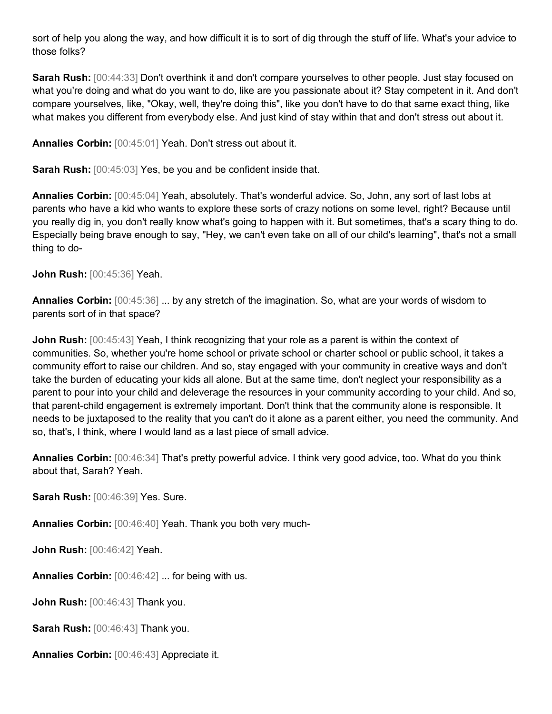sort of help you along the way, and how difficult it is to sort of dig through the stuff of life. What's your advice to those folks?

**Sarah Rush:** [00:44:33] Don't overthink it and don't compare yourselves to other people. Just stay focused on what you're doing and what do you want to do, like are you passionate about it? Stay competent in it. And don't compare yourselves, like, "Okay, well, they're doing this", like you don't have to do that same exact thing, like what makes you different from everybody else. And just kind of stay within that and don't stress out about it.

**Annalies Corbin:** [00:45:01] Yeah. Don't stress out about it.

**Sarah Rush:**  $[00:45:03]$  Yes, be you and be confident inside that.

**Annalies Corbin:** [00:45:04] Yeah, absolutely. That's wonderful advice. So, John, any sort of last lobs at parents who have a kid who wants to explore these sorts of crazy notions on some level, right? Because until you really dig in, you don't really know what's going to happen with it. But sometimes, that's a scary thing to do. Especially being brave enough to say, "Hey, we can't even take on all of our child's learning", that's not a small thing to do-

**John Rush:** [00:45:36] Yeah.

**Annalies Corbin:** [00:45:36] ... by any stretch of the imagination. So, what are your words of wisdom to parents sort of in that space?

**John Rush:**  $[00:45:43]$  Yeah, I think recognizing that your role as a parent is within the context of communities. So, whether you're home school or private school or charter school or public school, it takes a community effort to raise our children. And so, stay engaged with your community in creative ways and don't take the burden of educating your kids all alone. But at the same time, don't neglect your responsibility as a parent to pour into your child and deleverage the resources in your community according to your child. And so, that parent-child engagement is extremely important. Don't think that the community alone is responsible. It needs to be juxtaposed to the reality that you can't do it alone as a parent either, you need the community. And so, that's, I think, where I would land as a last piece of small advice.

**Annalies Corbin:** [00:46:34] That's pretty powerful advice. I think very good advice, too. What do you think about that, Sarah? Yeah.

**Sarah Rush:** [00:46:39] Yes. Sure.

**Annalies Corbin:** [00:46:40] Yeah. Thank you both very much-

**John Rush:** [00:46:42] Yeah.

**Annalies Corbin:** [00:46:42] ... for being with us.

**John Rush:** [00:46:43] Thank you.

**Sarah Rush:** [00:46:43] Thank you.

**Annalies Corbin:** [00:46:43] Appreciate it.